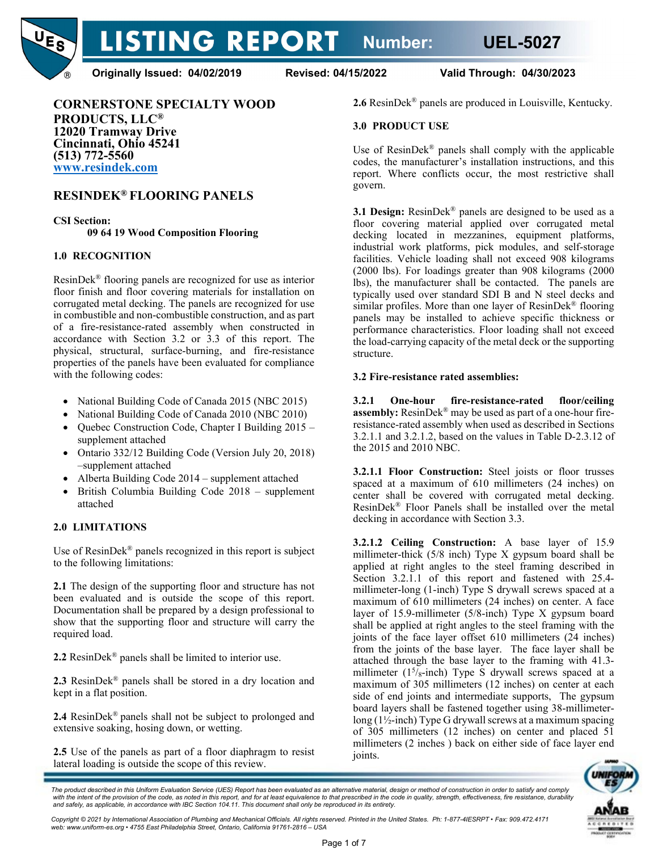LISTING REPORT Number: UEL-5027



**Originally Issued: 04/02/2019 Revised: 04/15/2022 Valid Through: 04/30/2023**

**CORNERSTONE SPECIALTY WOOD PRODUCTS, LLC® 12020 Tramway Drive Cincinnati, Ohio 45241 (513) 772-5560 [www.resindek.com](http://www.resindek.com/)**

# **RESINDEK® FLOORING PANELS**

**CSI Section: 09 64 19 Wood Composition Flooring**

# **1.0 RECOGNITION**

ResinDek® flooring panels are recognized for use as interior floor finish and floor covering materials for installation on corrugated metal decking. The panels are recognized for use in combustible and non-combustible construction, and as part of a fire-resistance-rated assembly when constructed in accordance with Section 3.2 or 3.3 of this report. The physical, structural, surface-burning, and fire-resistance properties of the panels have been evaluated for compliance with the following codes:

- National Building Code of Canada 2015 (NBC 2015)
- National Building Code of Canada 2010 (NBC 2010)
- Quebec Construction Code, Chapter I Building 2015 supplement attached
- Ontario 332/12 Building Code (Version July 20, 2018) –supplement attached
- Alberta Building Code 2014 supplement attached
- British Columbia Building Code 2018 supplement attached

# **2.0 LIMITATIONS**

Use of ResinDek® panels recognized in this report is subject to the following limitations:

**2.1** The design of the supporting floor and structure has not been evaluated and is outside the scope of this report. Documentation shall be prepared by a design professional to show that the supporting floor and structure will carry the required load.

**2.2** ResinDek® panels shall be limited to interior use.

**2.3** ResinDek® panels shall be stored in a dry location and kept in a flat position.

**2.4** ResinDek® panels shall not be subject to prolonged and extensive soaking, hosing down, or wetting.

**2.5** Use of the panels as part of a floor diaphragm to resist lateral loading is outside the scope of this review.

**2.6** ResinDek® panels are produced in Louisville, Kentucky.

## **3.0 PRODUCT USE**

Use of ResinDek<sup>®</sup> panels shall comply with the applicable codes, the manufacturer's installation instructions, and this report. Where conflicts occur, the most restrictive shall govern.

**3.1 Design:** ResinDek® panels are designed to be used as a floor covering material applied over corrugated metal decking located in mezzanines, equipment platforms, industrial work platforms, pick modules, and self-storage facilities. Vehicle loading shall not exceed 908 kilograms (2000 lbs). For loadings greater than 908 kilograms (2000 lbs), the manufacturer shall be contacted. The panels are typically used over standard SDI B and N steel decks and similar profiles. More than one layer of ResinDek® flooring panels may be installed to achieve specific thickness or performance characteristics. Floor loading shall not exceed the load-carrying capacity of the metal deck or the supporting structure.

## **3.2 Fire-resistance rated assemblies:**

**3.2.1 One-hour fire-resistance-rated floor/ceiling assembly:** ResinDek® may be used as part of a one-hour fireresistance-rated assembly when used as described in Sections 3.2.1.1 and 3.2.1.2, based on the values in Table D-2.3.12 of the 2015 and 2010 NBC.

**3.2.1.1 Floor Construction:** Steel joists or floor trusses spaced at a maximum of 610 millimeters (24 inches) on center shall be covered with corrugated metal decking. ResinDek® Floor Panels shall be installed over the metal decking in accordance with Section 3.3.

**3.2.1.2 Ceiling Construction:** A base layer of 15.9 millimeter-thick (5/8 inch) Type X gypsum board shall be applied at right angles to the steel framing described in Section 3.2.1.1 of this report and fastened with 25.4 millimeter-long (1-inch) Type S drywall screws spaced at a maximum of 610 millimeters (24 inches) on center. A face layer of 15.9-millimeter (5/8-inch) Type X gypsum board shall be applied at right angles to the steel framing with the joints of the face layer offset 610 millimeters (24 inches) from the joints of the base layer. The face layer shall be attached through the base layer to the framing with 41.3 millimeter (1<sup>5</sup>/<sub>8</sub>-inch) Type S drywall screws spaced at a maximum of 305 millimeters (12 inches) on center at each side of end joints and intermediate supports, The gypsum board layers shall be fastened together using 38-millimeterlong (1½-inch) Type G drywall screws at a maximum spacing of 305 millimeters (12 inches) on center and placed 51 millimeters (2 inches ) back on either side of face layer end joints.



The product described in this Uniform Evaluation Service (UES) Report has been evaluated as an alternative material, design or method of construction in order to satisfy and comply<br>with the intent of the provision of the c *and safely, as applicable, in accordance with IBC Section 104.11. This document shall only be reproduced in its entirety.* 

*Copyright © 2021 by International Association of Plumbing and Mechanical Officials. All rights reserved. Printed in the United States. Ph: 1-877-4IESRPT • Fax: 909.472.4171 web: www.uniform-es.org • 4755 East Philadelphia Street, Ontario, California 91761-2816 – USA*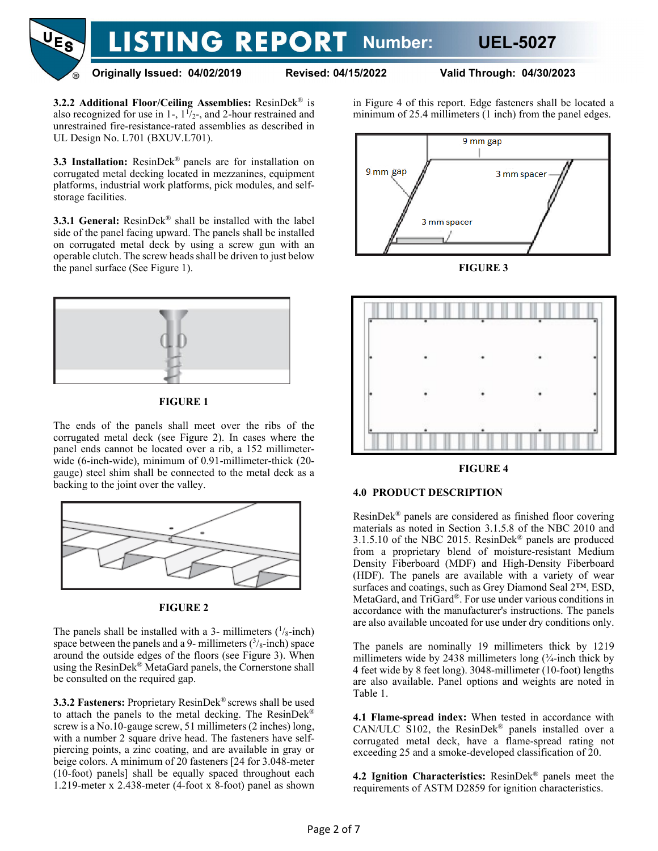

**Originally Issued: 04/02/2019 Revised: 04/15/2022 Valid Through: 04/30/2023**

**3.2.2 Additional Floor/Ceiling Assemblies:** ResinDek® is also recognized for use in 1-,  $1\frac{1}{2}$ -, and 2-hour restrained and unrestrained fire-resistance-rated assemblies as described in UL Design No. L701 (BXUV.L701).

**3.3 Installation:** ResinDek® panels are for installation on corrugated metal decking located in mezzanines, equipment platforms, industrial work platforms, pick modules, and selfstorage facilities.

**3.3.1 General:** ResinDek® shall be installed with the label side of the panel facing upward. The panels shall be installed on corrugated metal deck by using a screw gun with an operable clutch. The screw heads shall be driven to just below the panel surface (See Figure 1).



# **FIGURE 1**

The ends of the panels shall meet over the ribs of the corrugated metal deck (see Figure 2). In cases where the panel ends cannot be located over a rib, a 152 millimeterwide (6-inch-wide), minimum of 0.91-millimeter-thick (20 gauge) steel shim shall be connected to the metal deck as a backing to the joint over the valley.



# **FIGURE 2**

The panels shall be installed with a 3- millimeters  $(1/s$ -inch) space between the panels and a 9- millimeters  $(3/8)$ -inch) space around the outside edges of the floors (see Figure 3). When using the ResinDek® MetaGard panels, the Cornerstone shall be consulted on the required gap.

**3.3.2 Fasteners:** Proprietary ResinDek® screws shall be used to attach the panels to the metal decking. The ResinDek® screw is a No.10-gauge screw, 51 millimeters (2 inches) long, with a number 2 square drive head. The fasteners have selfpiercing points, a zinc coating, and are available in gray or beige colors. A minimum of 20 fasteners [24 for 3.048-meter (10-foot) panels] shall be equally spaced throughout each 1.219-meter x 2.438-meter (4-foot x 8-foot) panel as shown in Figure 4 of this report. Edge fasteners shall be located a minimum of 25.4 millimeters (1 inch) from the panel edges.



**FIGURE 3**



#### **FIGURE 4**

## **4.0 PRODUCT DESCRIPTION**

ResinDek® panels are considered as finished floor covering materials as noted in Section 3.1.5.8 of the NBC 2010 and 3.1.5.10 of the NBC 2015. ResinDek® panels are produced from a proprietary blend of moisture-resistant Medium Density Fiberboard (MDF) and High-Density Fiberboard (HDF). The panels are available with a variety of wear surfaces and coatings, such as Grey Diamond Seal 2™, ESD, MetaGard, and TriGard®. For use under various conditions in accordance with the manufacturer's instructions. The panels are also available uncoated for use under dry conditions only.

The panels are nominally 19 millimeters thick by 1219 millimeters wide by 2438 millimeters long  $(\frac{3}{4}$ -inch thick by 4 feet wide by 8 feet long). 3048-millimeter (10-foot) lengths are also available. Panel options and weights are noted in Table 1.

**4.1 Flame-spread index:** When tested in accordance with CAN/ULC S102, the ResinDek® panels installed over a corrugated metal deck, have a flame-spread rating not exceeding 25 and a smoke-developed classification of 20.

**4.2 Ignition Characteristics:** ResinDek® panels meet the requirements of ASTM D2859 for ignition characteristics.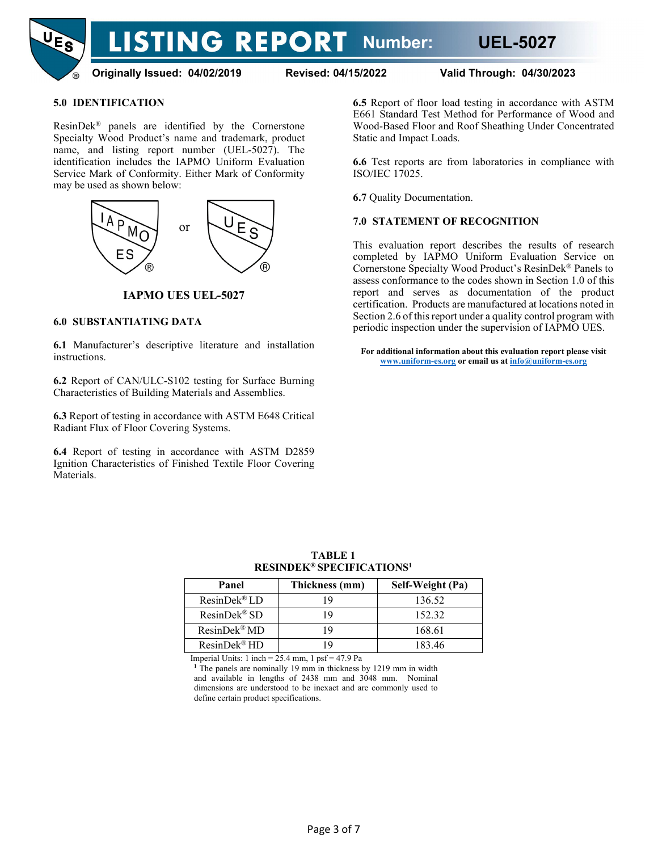

**Originally Issued: 04/02/2019 Revised: 04/15/2022 Valid Through: 04/30/2023**

# **5.0 IDENTIFICATION**

ResinDek® panels are identified by the Cornerstone Specialty Wood Product's name and trademark, product name, and listing report number (UEL-5027). The identification includes the IAPMO Uniform Evaluation Service Mark of Conformity. Either Mark of Conformity may be used as shown below:



**IAPMO UES UEL-5027**

## **6.0 SUBSTANTIATING DATA**

**6.1** Manufacturer's descriptive literature and installation instructions.

**6.2** Report of CAN/ULC-S102 testing for Surface Burning Characteristics of Building Materials and Assemblies.

**6.3** Report of testing in accordance with ASTM E648 Critical Radiant Flux of Floor Covering Systems.

**6.4** Report of testing in accordance with ASTM D2859 Ignition Characteristics of Finished Textile Floor Covering Materials.

**6.5** Report of floor load testing in accordance with ASTM E661 Standard Test Method for Performance of Wood and Wood-Based Floor and Roof Sheathing Under Concentrated Static and Impact Loads.

**6.6** Test reports are from laboratories in compliance with ISO/IEC 17025.

**6.7** Quality Documentation.

## **7.0 STATEMENT OF RECOGNITION**

This evaluation report describes the results of research completed by IAPMO Uniform Evaluation Service on Cornerstone Specialty Wood Product's ResinDek® Panels to assess conformance to the codes shown in Section 1.0 of this report and serves as documentation of the product certification. Products are manufactured at locations noted in Section 2.6 of this report under a quality control program with periodic inspection under the supervision of IAPMO UES.

**For additional information about this evaluation report please visit [www.uniform-es.org](http://www.uniform-es.org/) or email us a[t info@uniform-es.org](mailto:info@uniform-es.org)**

| Panel                    | Thickness (mm) | Self-Weight (Pa) |
|--------------------------|----------------|------------------|
| $Resin Dek^{\otimes}LD$  | ١q             | 136.52           |
| $ResinDek^{\circledR}SD$ | 19             | 152.32           |
| ResinDek <sup>®</sup> MD | 19             | 168.61           |
| ResinDek <sup>®</sup> HD | Q              | 183.46           |

**TABLE 1 RESINDEK® SPECIFICATIONS1**

Imperial Units: 1 inch  $= 25.4$  mm, 1 psf  $= 47.9$  Pa

<sup>1</sup> The panels are nominally 19 mm in thickness by 1219 mm in width and available in lengths of 2438 mm and 3048 mm. Nominal dimensions are understood to be inexact and are commonly used to define certain product specifications.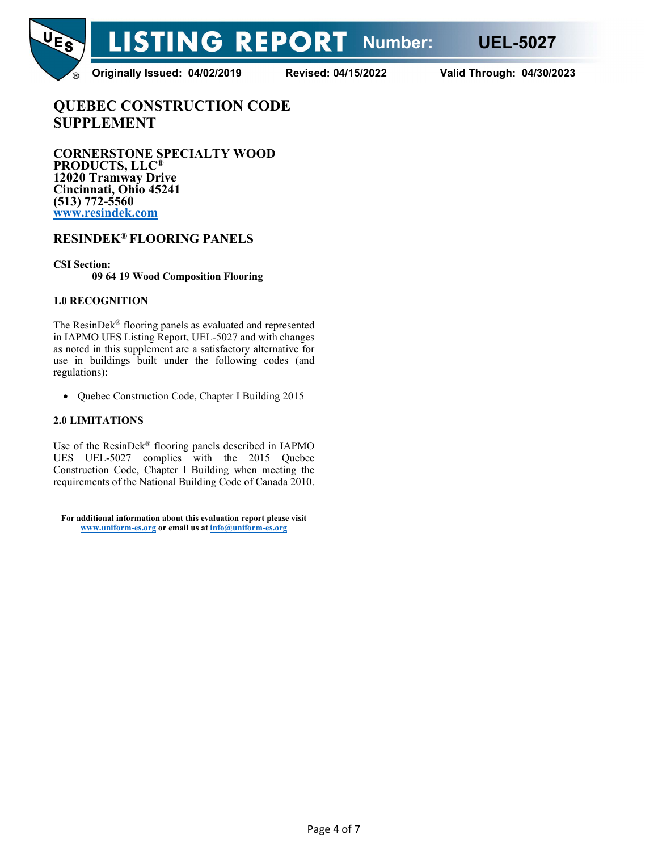

**Originally Issued: 04/02/2019 Revised: 04/15/2022 Valid Through: 04/30/2023**

**QUEBEC CONSTRUCTION CODE SUPPLEMENT**

**CORNERSTONE SPECIALTY WOOD PRODUCTS, LLC® 12020 Tramway Drive Cincinnati, Ohio 45241 (513) 772-5560 [www.resindek.com](http://www.resindek.com/)**

# **RESINDEK® FLOORING PANELS**

**CSI Section: 09 64 19 Wood Composition Flooring**

# **1.0 RECOGNITION**

The ResinDek® flooring panels as evaluated and represented in IAPMO UES Listing Report, UEL-5027 and with changes as noted in this supplement are a satisfactory alternative for use in buildings built under the following codes (and regulations):

• Quebec Construction Code, Chapter I Building 2015

# **2.0 LIMITATIONS**

Use of the ResinDek® flooring panels described in IAPMO UES UEL-5027 complies with the 2015 Quebec Construction Code, Chapter I Building when meeting the requirements of the National Building Code of Canada 2010.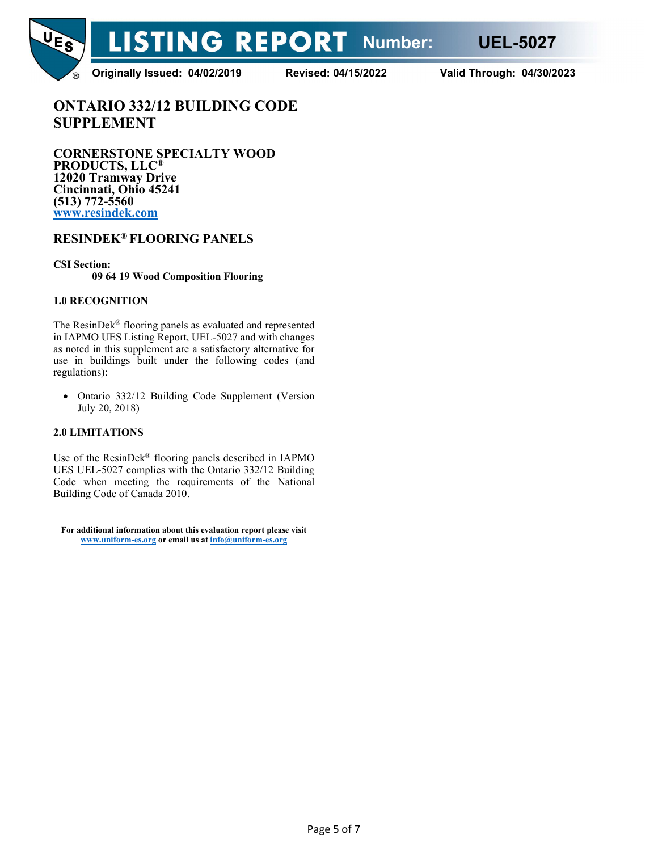

**Originally Issued: 04/02/2019 Revised: 04/15/2022 Valid Through: 04/30/2023**

**ONTARIO 332/12 BUILDING CODE SUPPLEMENT**

**CORNERSTONE SPECIALTY WOOD PRODUCTS, LLC® 12020 Tramway Drive Cincinnati, Ohio 45241 (513) 772-5560 [www.resindek.com](http://www.resindek.com/)**

# **RESINDEK® FLOORING PANELS**

**CSI Section: 09 64 19 Wood Composition Flooring**

# **1.0 RECOGNITION**

The ResinDek® flooring panels as evaluated and represented in IAPMO UES Listing Report, UEL-5027 and with changes as noted in this supplement are a satisfactory alternative for use in buildings built under the following codes (and regulations):

• Ontario 332/12 Building Code Supplement (Version July 20, 2018)

# **2.0 LIMITATIONS**

Use of the ResinDek® flooring panels described in IAPMO UES UEL-5027 complies with the Ontario 332/12 Building Code when meeting the requirements of the National Building Code of Canada 2010.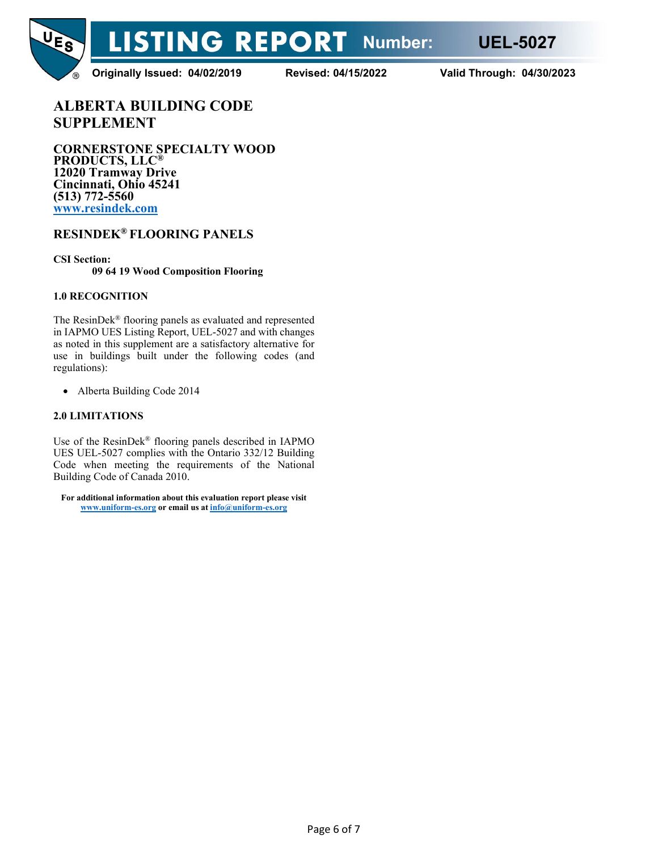

**Originally Issued: 04/02/2019 Revised: 04/15/2022 Valid Through: 04/30/2023**

**ALBERTA BUILDING CODE SUPPLEMENT**

**CORNERSTONE SPECIALTY WOOD PRODUCTS, LLC® 12020 Tramway Drive Cincinnati, Ohio 45241 (513) 772-5560 [www.resindek.com](http://www.resindek.com/)**

# **RESINDEK® FLOORING PANELS**

**CSI Section:**

**09 64 19 Wood Composition Flooring**

# **1.0 RECOGNITION**

The ResinDek® flooring panels as evaluated and represented in IAPMO UES Listing Report, UEL-5027 and with changes as noted in this supplement are a satisfactory alternative for use in buildings built under the following codes (and regulations):

• Alberta Building Code 2014

# **2.0 LIMITATIONS**

Use of the ResinDek® flooring panels described in IAPMO UES UEL-5027 complies with the Ontario 332/12 Building Code when meeting the requirements of the National Building Code of Canada 2010.